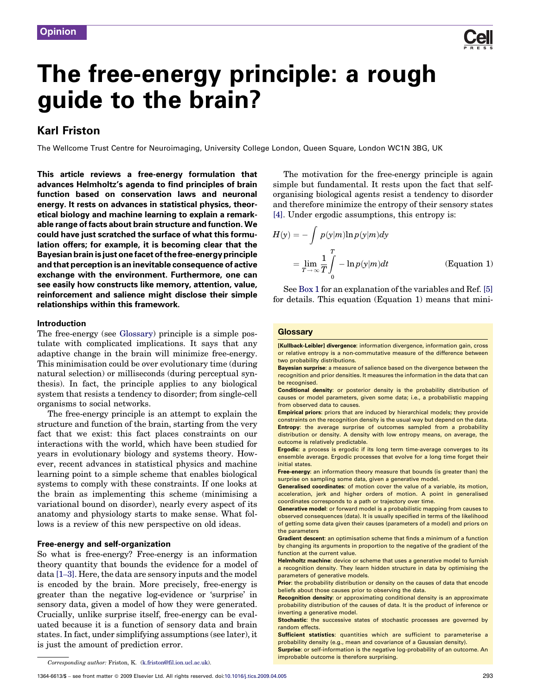

# The free-energy principle: a rough guide to the brain?

## Karl Friston

The Wellcome Trust Centre for Neuroimaging, University College London, Queen Square, London WC1N 3BG, UK

This article reviews a free-energy formulation that advances Helmholtz's agenda to find principles of brain function based on conservation laws and neuronal energy. It rests on advances in statistical physics, theoretical biology and machine learning to explain a remarkable range of facts about brain structure and function. We could have just scratched the surface of what this formulation offers; for example, it is becoming clear that the Bayesian brain is just one facetof thefree-energy principle and that perception is an inevitable consequence of active exchange with the environment. Furthermore, one can see easily how constructs like memory, attention, value, reinforcement and salience might disclose their simple relationships within this framework.

#### Introduction

The free-energy (see Glossary) principle is a simple postulate with complicated implications. It says that any adaptive change in the brain will minimize free-energy. This minimisation could be over evolutionary time (during natural selection) or milliseconds (during perceptual synthesis). In fact, the principle applies to any biological system that resists a tendency to disorder; from single-cell organisms to social networks.

The free-energy principle is an attempt to explain the structure and function of the brain, starting from the very fact that we exist: this fact places constraints on our interactions with the world, which have been studied for years in evolutionary biology and systems theory. However, recent advances in statistical physics and machine learning point to a simple scheme that enables biological systems to comply with these constraints. If one looks at the brain as implementing this scheme (minimising a variational bound on disorder), nearly every aspect of its anatomy and physiology starts to make sense. What follows is a review of this new perspective on old ideas.

#### Free-energy and self-organization

So what is free-energy? Free-energy is an information theory quantity that bounds the evidence for a model of data [\[1](#page-7-0)–3]. Here, the data are sensory inputs and the model is encoded by the brain. More precisely, free-energy is greater than the negative log-evidence or 'surprise' in sensory data, given a model of how they were generated. Crucially, unlike surprise itself, free-energy can be evaluated because it is a function of sensory data and brain states. In fact, under simplifying assumptions (see later), it is just the amount of prediction error.

The motivation for the free-energy principle is again simple but fundamental. It rests upon the fact that selforganising biological agents resist a tendency to disorder and therefore minimize the entropy of their sensory states [\[4\].](#page-7-0) Under ergodic assumptions, this entropy is:

$$
H(y) = -\int p(y|m)\ln p(y|m)dy
$$
  
=  $\lim_{T \to \infty} \frac{1}{T} \int_{0}^{T} -\ln p(y|m)dt$  (Equation 1)

See [Box 1](#page-1-0) for an explanation of the variables and Ref. [\[5\]](#page-7-0) for details. This equation (Equation 1) means that mini-

#### **Glossary**

[Kullback-Leibler] divergence: information divergence, information gain, cross or relative entropy is a non-commutative measure of the difference between two probability distributions.

Bayesian surprise: a measure of salience based on the divergence between the recognition and prior densities. It measures the information in the data that can be recognised.

Conditional density: or posterior density is the probability distribution of causes or model parameters, given some data; i.e., a probabilistic mapping from observed data to causes.

Empirical priors: priors that are induced by hierarchical models; they provide constraints on the recognition density is the usual way but depend on the data. Entropy: the average surprise of outcomes sampled from a probability distribution or density. A density with low entropy means, on average, the outcome is relatively predictable.

Ergodic: a process is ergodic if its long term time-average converges to its ensemble average. Ergodic processes that evolve for a long time forget their initial states.

Free-energy: an information theory measure that bounds (is greater than) the surprise on sampling some data, given a generative model.

Generalised coordinates: of motion cover the value of a variable, its motion, acceleration, jerk and higher orders of motion. A point in generalised coordinates corresponds to a path or trajectory over time.

Generative model: or forward model is a probabilistic mapping from causes to observed consequences (data). It is usually specified in terms of the likelihood of getting some data given their causes (parameters of a model) and priors on the parameters

Gradient descent: an optimisation scheme that finds a minimum of a function by changing its arguments in proportion to the negative of the gradient of the function at the current value.

Helmholtz machine: device or scheme that uses a generative model to furnish a recognition density. They learn hidden structure in data by optimising the parameters of generative models.

Prior: the probability distribution or density on the causes of data that encode beliefs about those causes prior to observing the data.

Recognition density: or approximating conditional density is an approximate probability distribution of the causes of data. It is the product of inference or inverting a generative model.

Stochastic: the successive states of stochastic processes are governed by random effects.

Sufficient statistics: quantities which are sufficient to parameterise a probability density (e.g., mean and covariance of a Gaussian density).

**Surprise:** or self-information is the negative log-probability of an outcome. An improbable outcome is therefore surprising.

Corresponding author: Friston, K. [\(k.friston@fil.ion.ucl.ac.uk](mailto:k.friston@fil.ion.ucl.ac.uk)).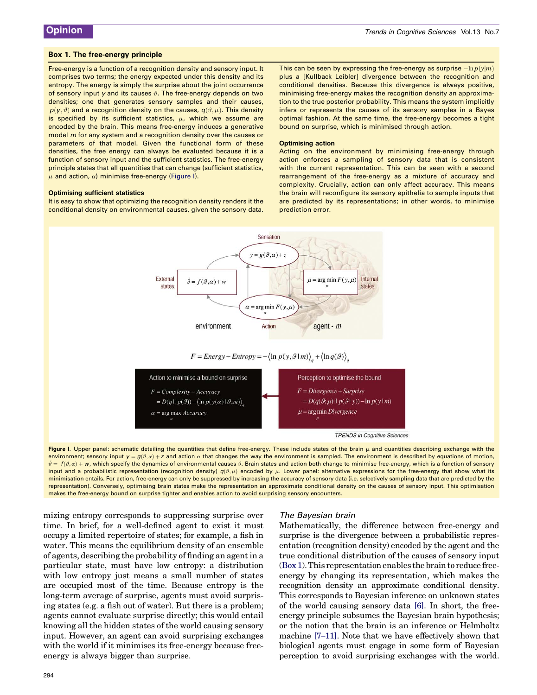#### <span id="page-1-0"></span>Box 1. The free-energy principle

Free-energy is a function of a recognition density and sensory input. It comprises two terms; the energy expected under this density and its entropy. The energy is simply the surprise about the joint occurrence of sensory input y and its causes  $\vartheta$ . The free-energy depends on two densities; one that generates sensory samples and their causes,  $p(y, \vartheta)$  and a recognition density on the causes,  $q(\vartheta, \mu)$ . This density is specified by its sufficient statistics,  $\mu$ , which we assume are encoded by the brain. This means free-energy induces a generative model m for any system and a recognition density over the causes or parameters of that model. Given the functional form of these densities, the free energy can always be evaluated because it is a function of sensory input and the sufficient statistics. The free-energy principle states that all quantities that can change (sufficient statistics,  $\mu$  and action,  $\alpha$ ) minimise free-energy (Figure I).

#### Optimising sufficient statistics

It is easy to show that optimizing the recognition density renders it the conditional density on environmental causes, given the sensory data. This can be seen by expressing the free-energy as surprise  $-\mathrm{ln} \, p(y|m)$ plus a [Kullback Leibler] divergence between the recognition and conditional densities. Because this divergence is always positive, minimising free-energy makes the recognition density an approximation to the true posterior probability. This means the system implicitly infers or represents the causes of its sensory samples in a Bayes optimal fashion. At the same time, the free-energy becomes a tight bound on surprise, which is minimised through action.

#### Optimising action

Acting on the environment by minimising free-energy through action enforces a sampling of sensory data that is consistent with the current representation. This can be seen with a second rearrangement of the free-energy as a mixture of accuracy and complexity. Crucially, action can only affect accuracy. This means the brain will reconfigure its sensory epithelia to sample inputs that are predicted by its representations; in other words, to minimise prediction error.



Figure I. Upper panel: schematic detailing the quantities that define free-energy. These include states of the brain  $\mu$  and quantities describing exchange with the environment; sensory input  $y = g(\theta, \alpha) + z$  and action  $\alpha$  that changes the way the environment is sampled. The environment is described by equations of motion,  $\dot{\theta} = f(\theta, \alpha) + \mathbf{w}$ , which specify the dynamics of environmental causes  $\theta$ . Brain states and action both change to minimise free-energy, which is a function of sensory input and a probabilistic representation (recognition density)  $q(\vartheta, \mu)$  encoded by  $\mu$ . Lower panel: alternative expressions for the free-energy that show what its minimisation entails. For action, free-energy can only be suppressed by increasing the accuracy of sensory data (i.e. selectively sampling data that are predicted by the representation). Conversely, optimising brain states make the representation an approximate conditional density on the causes of sensory input. This optimisation makes the free-energy bound on surprise tighter and enables action to avoid surprising sensory encounters.

mizing entropy corresponds to suppressing surprise over time. In brief, for a well-defined agent to exist it must occupy a limited repertoire of states; for example, a fish in water. This means the equilibrium density of an ensemble of agents, describing the probability of finding an agent in a particular state, must have low entropy: a distribution with low entropy just means a small number of states are occupied most of the time. Because entropy is the long-term average of surprise, agents must avoid surprising states (e.g. a fish out of water). But there is a problem; agents cannot evaluate surprise directly; this would entail knowing all the hidden states of the world causing sensory input. However, an agent can avoid surprising exchanges with the world if it minimises its free-energy because freeenergy is always bigger than surprise.

#### The Bayesian brain

Mathematically, the difference between free-energy and surprise is the divergence between a probabilistic representation (recognition density) encoded by the agent and the true conditional distribution of the causes of sensory input (Box 1). This representation enables the brain to reduce freeenergy by changing its representation, which makes the recognition density an approximate conditional density. This corresponds to Bayesian inference on unknown states of the world causing sensory data [\[6\].](#page-7-0) In short, the freeenergy principle subsumes the Bayesian brain hypothesis; or the notion that the brain is an inference or Helmholtz machine [7–[11\]](#page-7-0). Note that we have effectively shown that biological agents must engage in some form of Bayesian perception to avoid surprising exchanges with the world.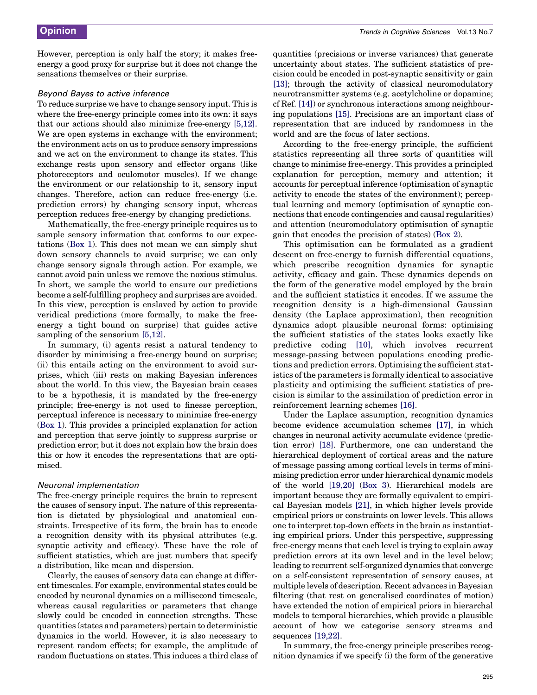However, perception is only half the story; it makes freeenergy a good proxy for surprise but it does not change the sensations themselves or their surprise.

#### Beyond Bayes to active inference

To reduce surprise we have to change sensory input. This is where the free-energy principle comes into its own: it says that our actions should also minimize free-energy [\[5,12\]](#page-7-0). We are open systems in exchange with the environment; the environment acts on us to produce sensory impressions and we act on the environment to change its states. This exchange rests upon sensory and effector organs (like photoreceptors and oculomotor muscles). If we change the environment or our relationship to it, sensory input changes. Therefore, action can reduce free-energy (i.e. prediction errors) by changing sensory input, whereas perception reduces free-energy by changing predictions.

Mathematically, the free-energy principle requires us to sample sensory information that conforms to our expectations ([Box 1](#page-1-0)). This does not mean we can simply shut down sensory channels to avoid surprise; we can only change sensory signals through action. For example, we cannot avoid pain unless we remove the noxious stimulus. In short, we sample the world to ensure our predictions become a self-fulfilling prophecy and surprises are avoided. In this view, perception is enslaved by action to provide veridical predictions (more formally, to make the freeenergy a tight bound on surprise) that guides active sampling of the sensorium [\[5,12\]](#page-7-0).

In summary, (i) agents resist a natural tendency to disorder by minimising a free-energy bound on surprise; (ii) this entails acting on the environment to avoid surprises, which (iii) rests on making Bayesian inferences about the world. In this view, the Bayesian brain ceases to be a hypothesis, it is mandated by the free-energy principle; free-energy is not used to finesse perception, perceptual inference is necessary to minimise free-energy ([Box 1\)](#page-1-0). This provides a principled explanation for action and perception that serve jointly to suppress surprise or prediction error; but it does not explain how the brain does this or how it encodes the representations that are optimised.

#### Neuronal implementation

The free-energy principle requires the brain to represent the causes of sensory input. The nature of this representation is dictated by physiological and anatomical constraints. Irrespective of its form, the brain has to encode a recognition density with its physical attributes (e.g. synaptic activity and efficacy). These have the role of sufficient statistics, which are just numbers that specify a distribution, like mean and dispersion.

Clearly, the causes of sensory data can change at different timescales. For example, environmental states could be encoded by neuronal dynamics on a millisecond timescale, whereas causal regularities or parameters that change slowly could be encoded in connection strengths. These quantities (states and parameters) pertain to deterministic dynamics in the world. However, it is also necessary to represent random effects; for example, the amplitude of random fluctuations on states. This induces a third class of

quantities (precisions or inverse variances) that generate uncertainty about states. The sufficient statistics of precision could be encoded in post-synaptic sensitivity or gain [\[13\]](#page-7-0); through the activity of classical neuromodulatory neurotransmitter systems (e.g. acetylcholine or dopamine; cf Ref. [\[14\]\)](#page-7-0) or synchronous interactions among neighbouring populations [\[15\].](#page-7-0) Precisions are an important class of representation that are induced by randomness in the world and are the focus of later sections.

According to the free-energy principle, the sufficient statistics representing all three sorts of quantities will change to minimise free-energy. This provides a principled explanation for perception, memory and attention; it accounts for perceptual inference (optimisation of synaptic activity to encode the states of the environment); perceptual learning and memory (optimisation of synaptic connections that encode contingencies and causal regularities) and attention (neuromodulatory optimisation of synaptic gain that encodes the precision of states) ([Box 2](#page-3-0)).

This optimisation can be formulated as a gradient descent on free-energy to furnish differential equations, which prescribe recognition dynamics for synaptic activity, efficacy and gain. These dynamics depends on the form of the generative model employed by the brain and the sufficient statistics it encodes. If we assume the recognition density is a high-dimensional Gaussian density (the Laplace approximation), then recognition dynamics adopt plausible neuronal forms: optimising the sufficient statistics of the states looks exactly like predictive coding [\[10\],](#page-7-0) which involves recurrent message-passing between populations encoding predictions and prediction errors. Optimising the sufficient statistics of the parameters is formally identical to associative plasticity and optimising the sufficient statistics of precision is similar to the assimilation of prediction error in reinforcement learning schemes [\[16\]](#page-7-0).

Under the Laplace assumption, recognition dynamics become evidence accumulation schemes [\[17\]](#page-7-0), in which changes in neuronal activity accumulate evidence (prediction error) [\[18\].](#page-7-0) Furthermore, one can understand the hierarchical deployment of cortical areas and the nature of message passing among cortical levels in terms of minimising prediction error under hierarchical dynamic models of the world [\[19,20\]](#page-7-0) [\(Box 3](#page-4-0)). Hierarchical models are important because they are formally equivalent to empirical Bayesian models [\[21\],](#page-7-0) in which higher levels provide empirical priors or constraints on lower levels. This allows one to interpret top-down effects in the brain as instantiating empirical priors. Under this perspective, suppressing free-energy means that each level is trying to explain away prediction errors at its own level and in the level below; leading to recurrent self-organized dynamics that converge on a self-consistent representation of sensory causes, at multiple levels of description. Recent advances in Bayesian filtering (that rest on generalised coordinates of motion) have extended the notion of empirical priors in hierarchal models to temporal hierarchies, which provide a plausible account of how we categorise sensory streams and sequences [\[19,22\].](#page-7-0)

In summary, the free-energy principle prescribes recognition dynamics if we specify (i) the form of the generative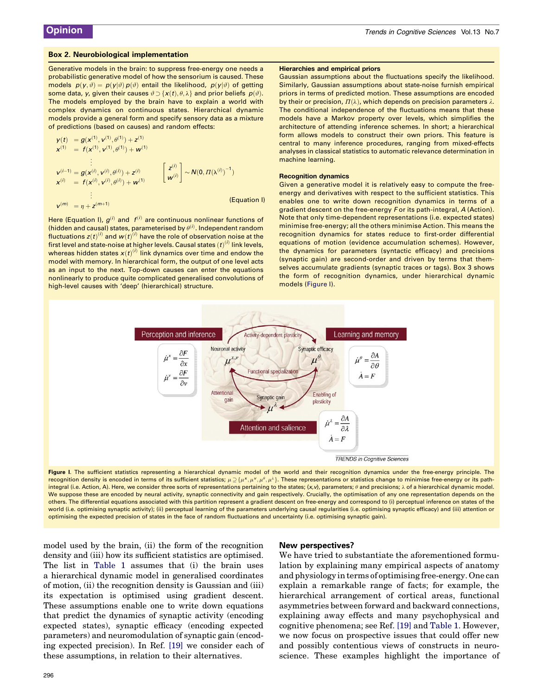#### <span id="page-3-0"></span>Box 2. Neurobiological implementation

Generative models in the brain: to suppress free-energy one needs a probabilistic generative model of how the sensorium is caused. These models  $p(y, \vartheta) = p(y|\vartheta) p(\vartheta)$  entail the likelihood,  $p(y|\vartheta)$  of getting some data, y, given their causes  $\vartheta \supset \{x(t), \theta, \lambda\}$  and prior beliefs  $p(\vartheta)$ . The models employed by the brain have to explain a world with complex dynamics on continuous states. Hierarchical dynamic models provide a general form and specify sensory data as a mixture of predictions (based on causes) and random effects:

$$
y(t) = g(x^{(1)}, v^{(1)}, \theta^{(1)}) + z^{(1)}
$$
  
\n
$$
x^{(1)} = f(x^{(1)}, v^{(1)}, \theta^{(1)}) + w^{(1)}
$$
  
\n
$$
\vdots
$$
  
\n
$$
v^{(i-1)} = g(x^{(i)}, v^{(i)}, \theta^{(i)}) + z^{(i)}
$$
  
\n
$$
x^{(i)} = f(x^{(i)}, v^{(i)}, \theta^{(i)}) + w^{(1)}
$$
  
\n
$$
\vdots
$$
  
\n
$$
v^{(m)} = n + z^{(m+1)}
$$
  
\n(Equation I)

Here (Equation I),  $g^{(i)}$  and  $f^{(i)}$  are continuous nonlinear functions of (hidden and causal) states, parameterised by  $\theta^{(i)}$ . Independent random fluctuations  $\mathsf{z}(t)^{(i)}$  and  $\boldsymbol{w}(t)^{(i)}$  have the role of observation noise at the first level and state-noise at higher levels. Causal states  $(t)^{(i)}$  link levels, whereas hidden states  $\bm{x}(t)^{(i)}$  link dynamics over time and endow the model with memory. In hierarchical form, the output of one level acts as an input to the next. Top-down causes can enter the equations nonlinearly to produce quite complicated generalised convolutions of high-level causes with 'deep' (hierarchical) structure.

#### Hierarchies and empirical priors

Gaussian assumptions about the fluctuations specify the likelihood. Similarly, Gaussian assumptions about state-noise furnish empirical priors in terms of predicted motion. These assumptions are encoded by their or precision,  $\Pi(\lambda)$ , which depends on precision parameters  $\lambda$ . The conditional independence of the fluctuations means that these models have a Markov property over levels, which simplifies the architecture of attending inference schemes. In short; a hierarchical form allows models to construct their own priors. This feature is central to many inference procedures, ranging from mixed-effects analyses in classical statistics to automatic relevance determination in machine learning.

#### Recognition dynamics

Given a generative model it is relatively easy to compute the freeenergy and derivatives with respect to the sufficient statistics. This enables one to write down recognition dynamics in terms of a gradient descent on the free-energy F or its path-integral, A (Action). Note that only time-dependent representations (i.e. expected states) minimise free-energy; all the others minimise Action. This means the recognition dynamics for states reduce to first-order differential equations of motion (evidence accumulation schemes). However, the dynamics for parameters (syntactic efficacy) and precisions (synaptic gain) are second-order and driven by terms that themselves accumulate gradients (synaptic traces or tags). Box 3 shows the form of recognition dynamics, under hierarchical dynamic models (Figure I).



Figure I. The sufficient statistics representing a hierarchical dynamic model of the world and their recognition dynamics under the free-energy principle. The recognition density is encoded in terms of its sufficient statistics;  $\mu \geq {\mu^{\times}, \mu^{\vee}, \mu^{\theta}, \mu^{\lambda}}$ . These representations or statistics change to minimise free-energy or its pathintegral (i.e. Action, A). Here, we consider three sorts of representations pertaining to the states; {x,v}, parameters;  $\theta$  and precisions;  $\lambda$  of a hierarchical dynamic model. We suppose these are encoded by neural activity, synaptic connectivity and gain respectively. Crucially, the optimisation of any one representation depends on the others. The differential equations associated with this partition represent a gradient descent on free-energy and correspond to (i) perceptual inference on states of the world (i.e. optimising synaptic activity); (ii) perceptual learning of the parameters underlying causal regularities (i.e. optimising synaptic efficacy) and (iii) attention or optimising the expected precision of states in the face of random fluctuations and uncertainty (i.e. optimising synaptic gain).

model used by the brain, (ii) the form of the recognition density and (iii) how its sufficient statistics are optimised. The list in [Table 1](#page-5-0) assumes that (i) the brain uses a hierarchical dynamic model in generalised coordinates of motion, (ii) the recognition density is Gaussian and (iii) its expectation is optimised using gradient descent. These assumptions enable one to write down equations that predict the dynamics of synaptic activity (encoding expected states), synaptic efficacy (encoding expected parameters) and neuromodulation of synaptic gain (encoding expected precision). In Ref. [\[19\]](#page-7-0) we consider each of these assumptions, in relation to their alternatives.

#### New perspectives?

We have tried to substantiate the aforementioned formulation by explaining many empirical aspects of anatomy and physiology in terms of optimising free-energy. One can explain a remarkable range of facts; for example, the hierarchical arrangement of cortical areas, functional asymmetries between forward and backward connections, explaining away effects and many psychophysical and cognitive phenomena; see Ref. [\[19\]](#page-7-0) and [Table 1](#page-5-0). However, we now focus on prospective issues that could offer new and possibly contentious views of constructs in neuroscience. These examples highlight the importance of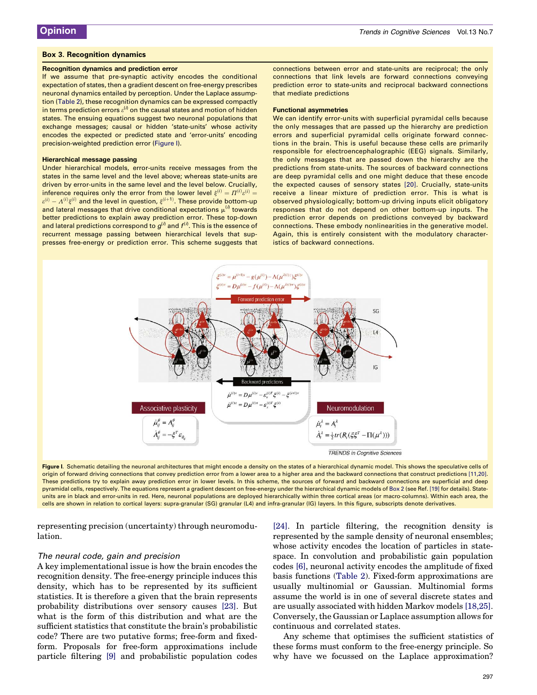#### <span id="page-4-0"></span>Box 3. Recognition dynamics

#### Recognition dynamics and prediction error

If we assume that pre-synaptic activity encodes the conditional expectation of states, then a gradient descent on free-energy prescribes neuronal dynamics entailed by perception. Under the Laplace assumption [\(Table 2](#page-5-0)), these recognition dynamics can be expressed compactly in terms prediction errors  $\varepsilon^{(\textit{i})}$  on the causal states and motion of hidden states. The ensuing equations suggest two neuronal populations that exchange messages; causal or hidden 'state-units' whose activity encodes the expected or predicted state and 'error-units' encoding precision-weighted prediction error (Figure I).

#### Hierarchical message passing

Under hierarchical models, error-units receive messages from the states in the same level and the level above; whereas state-units are driven by error-units in the same level and the level below. Crucially, inference requires only the error from the lower level  $\xi^{(i)}= \Pi^{(i)}\varepsilon^{(i)}=$  $\varepsilon^{(i)} - A^{(i)} \xi^{(i)}$  and the level in question,  $\xi^{(i+1)}$ . These provide bottom-up and lateral messages that drive conditional expectations  $\mu^{(i)}$  towards better predictions to explain away prediction error. These top-down and lateral predictions correspond to  $g^{(\textit{i})}$  and  $f^{(\textit{i})}.$  This is the essence of recurrent message passing between hierarchical levels that suppresses free-energy or prediction error. This scheme suggests that

connections between error and state-units are reciprocal; the only connections that link levels are forward connections conveying prediction error to state-units and reciprocal backward connections that mediate predictions

#### Functional asymmetries

We can identify error-units with superficial pyramidal cells because the only messages that are passed up the hierarchy are prediction errors and superficial pyramidal cells originate forward connections in the brain. This is useful because these cells are primarily responsible for electroencephalographic (EEG) signals. Similarly, the only messages that are passed down the hierarchy are the predictions from state-units. The sources of backward connections are deep pyramidal cells and one might deduce that these encode the expected causes of sensory states [\[20\].](#page-7-0) Crucially, state-units receive a linear mixture of prediction error. This is what is observed physiologically; bottom-up driving inputs elicit obligatory responses that do not depend on other bottom-up inputs. The prediction error depends on predictions conveyed by backward connections. These embody nonlinearities in the generative model. Again, this is entirely consistent with the modulatory characteristics of backward connections.



Figure I. Schematic detailing the neuronal architectures that might encode a density on the states of a hierarchical dynamic model. This shows the speculative cells of origin of forward driving connections that convey prediction error from a lower area to a higher area and the backward connections that construct predictions [\[11,20\]](#page-7-0). These predictions try to explain away prediction error in lower levels. In this scheme, the sources of forward and backward connections are superficial and deep pyramidal cells, respectively. The equations represent a gradient descent on free-energy under the hierarchical dynamic models of [Box 2](#page-3-0) (see Ref. [\[19\]](#page-7-0) for details). Stateunits are in black and error-units in red. Here, neuronal populations are deployed hierarchically within three cortical areas (or macro-columns). Within each area, the cells are shown in relation to cortical layers: supra-granular (SG) granular (L4) and infra-granular (IG) layers. In this figure, subscripts denote derivatives.

representing precision (uncertainty) through neuromodulation.

#### The neural code, gain and precision

A key implementational issue is how the brain encodes the recognition density. The free-energy principle induces this density, which has to be represented by its sufficient statistics. It is therefore a given that the brain represents probability distributions over sensory causes [\[23\]](#page-7-0). But what is the form of this distribution and what are the sufficient statistics that constitute the brain's probabilistic code? There are two putative forms; free-form and fixedform. Proposals for free-form approximations include particle filtering [\[9\]](#page-7-0) and probabilistic population codes

[\[24\]](#page-7-0). In particle filtering, the recognition density is represented by the sample density of neuronal ensembles; whose activity encodes the location of particles in statespace. In convolution and probabilistic gain population codes [\[6\],](#page-7-0) neuronal activity encodes the amplitude of fixed basis functions ([Table 2\)](#page-5-0). Fixed-form approximations are usually multinomial or Gaussian. Multinomial forms assume the world is in one of several discrete states and are usually associated with hidden Markov models [\[18,25\]](#page-7-0). Conversely, the Gaussian or Laplace assumption allows for continuous and correlated states.

Any scheme that optimises the sufficient statistics of these forms must conform to the free-energy principle. So why have we focussed on the Laplace approximation?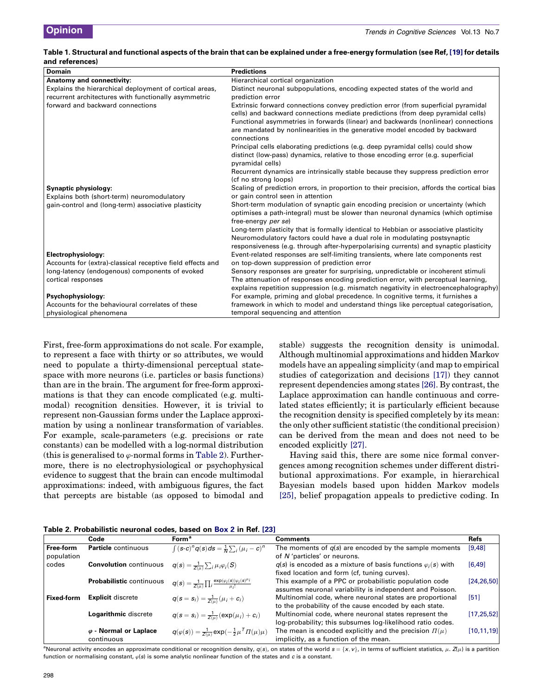#### <span id="page-5-0"></span>Table 1. Structural and functional aspects of the brain that can be explained under a free-energy formulation (see Ref, [\[19\]](#page-7-0) for details and references)

| Domain                                                     | <b>Predictions</b>                                                                                                                                                                                                                                                                                                                      |
|------------------------------------------------------------|-----------------------------------------------------------------------------------------------------------------------------------------------------------------------------------------------------------------------------------------------------------------------------------------------------------------------------------------|
| Anatomy and connectivity:                                  | Hierarchical cortical organization                                                                                                                                                                                                                                                                                                      |
| Explains the hierarchical deployment of cortical areas,    | Distinct neuronal subpopulations, encoding expected states of the world and                                                                                                                                                                                                                                                             |
| recurrent architectures with functionally asymmetric       | prediction error                                                                                                                                                                                                                                                                                                                        |
| forward and backward connections                           | Extrinsic forward connections convey prediction error (from superficial pyramidal<br>cells) and backward connections mediate predictions (from deep pyramidal cells)<br>Functional asymmetries in forwards (linear) and backwards (nonlinear) connections<br>are mandated by nonlinearities in the generative model encoded by backward |
|                                                            | connections                                                                                                                                                                                                                                                                                                                             |
|                                                            | Principal cells elaborating predictions (e.g. deep pyramidal cells) could show<br>distinct (low-pass) dynamics, relative to those encoding error (e.g. superficial<br>pyramidal cells)                                                                                                                                                  |
|                                                            | Recurrent dynamics are intrinsically stable because they suppress prediction error<br>(cf no strong loops)                                                                                                                                                                                                                              |
| Synaptic physiology:                                       | Scaling of prediction errors, in proportion to their precision, affords the cortical bias                                                                                                                                                                                                                                               |
| Explains both (short-term) neuromodulatory                 | or gain control seen in attention                                                                                                                                                                                                                                                                                                       |
| gain-control and (long-term) associative plasticity        | Short-term modulation of synaptic gain encoding precision or uncertainty (which                                                                                                                                                                                                                                                         |
|                                                            | optimises a path-integral) must be slower than neuronal dynamics (which optimise<br>free-energy per se)                                                                                                                                                                                                                                 |
|                                                            | Long-term plasticity that is formally identical to Hebbian or associative plasticity                                                                                                                                                                                                                                                    |
|                                                            | Neuromodulatory factors could have a dual role in modulating postsynaptic                                                                                                                                                                                                                                                               |
|                                                            | responsiveness (e.g. through after-hyperpolarising currents) and synaptic plasticity                                                                                                                                                                                                                                                    |
| Electrophysiology:                                         | Event-related responses are self-limiting transients, where late components rest                                                                                                                                                                                                                                                        |
| Accounts for (extra)-classical receptive field effects and | on top-down suppression of prediction error                                                                                                                                                                                                                                                                                             |
| long-latency (endogenous) components of evoked             | Sensory responses are greater for surprising, unpredictable or incoherent stimuli                                                                                                                                                                                                                                                       |
| cortical responses                                         | The attenuation of responses encoding prediction error, with perceptual learning,                                                                                                                                                                                                                                                       |
|                                                            | explains repetition suppression (e.g. mismatch negativity in electroencephalography)                                                                                                                                                                                                                                                    |
| Psychophysiology:                                          | For example, priming and global precedence. In cognitive terms, it furnishes a                                                                                                                                                                                                                                                          |
| Accounts for the behavioural correlates of these           | framework in which to model and understand things like perceptual categorisation,                                                                                                                                                                                                                                                       |
| physiological phenomena                                    | temporal sequencing and attention                                                                                                                                                                                                                                                                                                       |

First, free-form approximations do not scale. For example, to represent a face with thirty or so attributes, we would need to populate a thirty-dimensional perceptual statespace with more neurons (i.e. particles or basis functions) than are in the brain. The argument for free-form approximations is that they can encode complicated (e.g. multimodal) recognition densities. However, it is trivial to represent non-Gaussian forms under the Laplace approximation by using a nonlinear transformation of variables. For example, scale-parameters (e.g. precisions or rate constants) can be modelled with a log-normal distribution (this is generalised to  $\varphi$ -normal forms in Table 2). Furthermore, there is no electrophysiological or psychophysical evidence to suggest that the brain can encode multimodal approximations: indeed, with ambiguous figures, the fact that percepts are bistable (as opposed to bimodal and

stable) suggests the recognition density is unimodal. Although multinomial approximations and hidden Markov models have an appealing simplicity (and map to empirical studies of categorization and decisions [\[17\]\)](#page-7-0) they cannot represent dependencies among states [\[26\]](#page-7-0). By contrast, the Laplace approximation can handle continuous and correlated states efficiently; it is particularly efficient because the recognition density is specified completely by its mean: the only other sufficient statistic (the conditional precision) can be derived from the mean and does not need to be encoded explicitly [\[27\]](#page-7-0).

Having said this, there are some nice formal convergences among recognition schemes under different distributional approximations. For example, in hierarchical Bayesian models based upon hidden Markov models [\[25\],](#page-7-0) belief propagation appeals to predictive coding. In

| Table 2. Probabilistic neuronal codes, based on Box 2 in Ref. [23] |  |  |  |  |  |
|--------------------------------------------------------------------|--|--|--|--|--|
|--------------------------------------------------------------------|--|--|--|--|--|

|                         | Code                                        | <b>Form<sup>a</sup></b>                                                             | <b>Comments</b>                                                                                                       | Refs         |
|-------------------------|---------------------------------------------|-------------------------------------------------------------------------------------|-----------------------------------------------------------------------------------------------------------------------|--------------|
| Free-form<br>population | <b>Particle</b> continuous                  | $\int (s-c)^n q(s) ds = \frac{1}{N} \sum_i (\mu_i - c)^n$                           | The moments of $q(s)$ are encoded by the sample moments<br>of N'particles' or neurons.                                | [9,48]       |
| codes                   | <b>Convolution</b> continuous               | $q(s) = \frac{1}{Z(u)} \sum_i \mu_i \varphi_i(S)$                                   | $q(s)$ is encoded as a mixture of basis functions $\varphi_i(s)$ with<br>fixed location and form (cf, tuning curves). | [6, 49]      |
|                         | <b>Probabilistic continuous</b>             | $q(s) = \frac{1}{Z(u)} \prod_i \frac{\exp(\varphi_i(s))\varphi_i(s)^{\mu_i}}{u_i!}$ | This example of a PPC or probabilistic population code<br>assumes neuronal variability is independent and Poisson.    | [24, 26, 50] |
| <b>Fixed-form</b>       | <b>Explicit discrete</b>                    | $q(s = s_i) = \frac{1}{Z(u)}(\mu_i + c_i)$                                          | Multinomial code, where neuronal states are proportional<br>to the probability of the cause encoded by each state.    | [51]         |
|                         | Logarithmic discrete                        | $q(s = s_i) = \frac{1}{Z(u)}(\exp(\mu_i) + c_i)$                                    | Multinomial code, where neuronal states represent the<br>log-probability; this subsumes log-likelihood ratio codes.   | [17, 25, 52] |
|                         | $\varphi$ - Normal or Laplace<br>continuous | $q(\varphi(s)) = \frac{1}{Z(\mu)} \exp(-\frac{1}{2}\mu^T \Pi(\mu)\mu)$              | The mean is encoded explicitly and the precision $\Pi(\mu)$<br>implicitly, as a function of the mean.                 | [10, 11, 19] |

<sup>a</sup>Neuronal activity encodes an approximate conditional or recognition density,  $q(s)$ , on states of the world  $s = \{x, v\}$ , in terms of sufficient statistics,  $\mu$ .  $Z(\mu)$  is a partition function or normalising constant,  $\varphi(s)$  is some analytic nonlinear function of the states and c is a constant.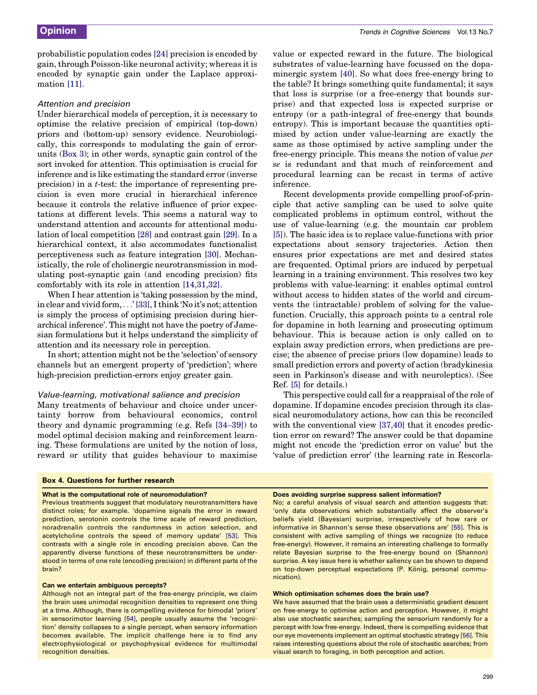<span id="page-6-0"></span>probabilistic population codes [\[24\]](#page-7-0) precision is encoded by gain, through Poisson-like neuronal activity; whereas it is encoded by synaptic gain under the Laplace approximation [\[11\].](#page-7-0)

#### Attention and precision

Under hierarchical models of perception, it is necessary to optimise the relative precision of empirical (top-down) priors and (bottom-up) sensory evidence. Neurobiologically, this corresponds to modulating the gain of errorunits [\(Box 3\)](#page-4-0); in other words, synaptic gain control of the sort invoked for attention. This optimisation is crucial for inference and is like estimating the standard error (inverse precision) in a t-test: the importance of representing precision is even more crucial in hierarchical inference because it controls the relative influence of prior expectations at different levels. This seems a natural way to understand attention and accounts for attentional modulation of local competition [\[28\]](#page-7-0) and contrast gain [\[29\]](#page-7-0). In a hierarchical context, it also accommodates functionalist perceptiveness such as feature integration [\[30\]](#page-7-0). Mechanistically, the role of cholinergic neurotransmission in modulating post-synaptic gain (and encoding precision) fits comfortably with its role in attention [\[14,31,32\]](#page-7-0).

When I hear attention is 'taking possession by the mind, in clear and vivid form, ...' [\[33\]](#page-7-0), I think 'No it's not; attention is simply the process of optimising precision during hierarchical inference'. This might not have the poetry of Jamesian formulations but it helps understand the simplicity of attention and its necessary role in perception.

In short; attention might not be the 'selection' of sensory channels but an emergent property of 'prediction'; where high-precision prediction-errors enjoy greater gain.

### Value-learning, motivational salience and precision

Many treatments of behaviour and choice under uncertainty borrow from behavioural economics, control theory and dynamic programming (e.g. Refs [34–[39\]](#page-7-0)) to model optimal decision making and reinforcement learning. These formulations are united by the notion of loss, reward or utility that guides behaviour to maximise value or expected reward in the future. The biological substrates of value-learning have focussed on the dopaminergic system [\[40\]](#page-7-0). So what does free-energy bring to the table? It brings something quite fundamental; it says that loss is surprise (or a free-energy that bounds surprise) and that expected loss is expected surprise or entropy (or a path-integral of free-energy that bounds entropy). This is important because the quantities optimised by action under value-learning are exactly the same as those optimised by active sampling under the free-energy principle. This means the notion of value per se is redundant and that much of reinforcement and procedural learning can be recast in terms of active inference.

Recent developments provide compelling proof-of-principle that active sampling can be used to solve quite complicated problems in optimum control, without the use of value-learning (e.g. the mountain car problem [\[5\]\)](#page-7-0). The basic idea is to replace value-functions with prior expectations about sensory trajectories. Action then ensures prior expectations are met and desired states are frequented. Optimal priors are induced by perpetual learning in a training environment. This resolves two key problems with value-learning: it enables optimal control without access to hidden states of the world and circumvents the (intractable) problem of solving for the valuefunction. Crucially, this approach points to a central role for dopamine in both learning and prosecuting optimum behaviour. This is because action is only called on to explain away prediction errors, when predictions are precise; the absence of precise priors (low dopamine) leads to small prediction errors and poverty of action (bradykinesia seen in Parkinson's disease and with neuroleptics). (See Ref. [\[5\]](#page-7-0) for details.)

This perspective could call for a reappraisal of the role of dopamine. If dopamine encodes precision through its classical neuromodulatory actions, how can this be reconciled with the conventional view [\[37,40\]](#page-7-0) that it encodes prediction error on reward? The answer could be that dopamine might not encode the 'prediction error on value' but the 'value of prediction error' (the learning rate in Rescorla-

#### Box 4. Questions for further research

#### What is the computational role of neuromodulation?

Previous treatments suggest that modulatory neurotransmitters have distinct roles; for example. 'dopamine signals the error in reward prediction, serotonin controls the time scale of reward prediction, noradrenalin controls the randomness in action selection, and acetylcholine controls the speed of memory update' [\[53\]](#page-8-0). This contrasts with a single role in encoding precision above. Can the apparently diverse functions of these neurotransmitters be understood in terms of one role (encoding precision) in different parts of the brain?

#### Can we entertain ambiguous percepts?

Although not an integral part of the free-energy principle, we claim the brain uses unimodal recognition densities to represent one thing at a time. Although, there is compelling evidence for bimodal 'priors' in sensorimotor learning [\[54\],](#page-8-0) people usually assume the 'recognition' density collapses to a single percept, when sensory information becomes available. The implicit challenge here is to find any electrophysiological or psychophysical evidence for multimodal recognition densities.

#### Does avoiding surprise suppress salient information?

No; a careful analysis of visual search and attention suggests that: 'only data observations which substantially affect the observer's beliefs yield (Bayesian) surprise, irrespectively of how rare or informative in Shannon's sense these observations are' [\[55\]](#page-8-0). This is consistent with active sampling of things we recognize (to reduce free-energy). However, it remains an interesting challenge to formally relate Bayesian surprise to the free-energy bound on (Shannon) surprise. A key issue here is whether saliency can be shown to depend on top-down perceptual expectations (P. König, personal communication).

#### Which optimisation schemes does the brain use?

We have assumed that the brain uses a deterministic gradient descent on free-energy to optimise action and perception. However, it might also use stochastic searches; sampling the sensorium randomly for a percept with low free-energy. Indeed, there is compelling evidence that our eye movements implement an optimal stochastic strategy [\[56\]](#page-8-0). This raises interesting questions about the role of stochastic searches; from visual search to foraging, in both perception and action.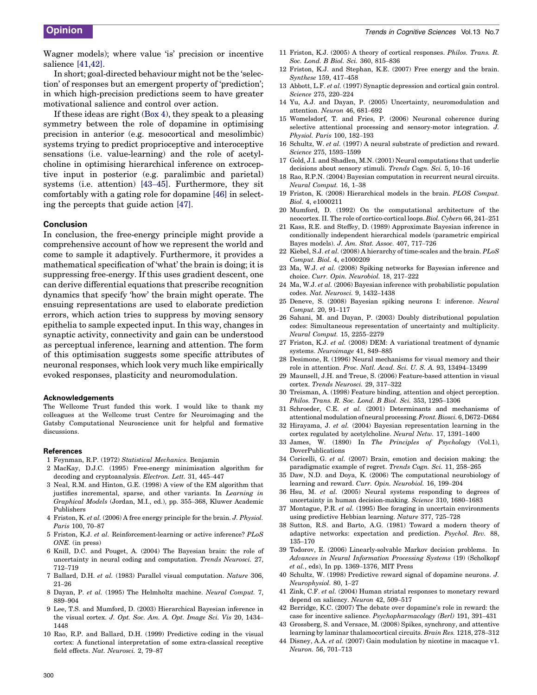<span id="page-7-0"></span>Wagner models); where value 'is' precision or incentive salience [41,42].

In short; goal-directed behaviour might not be the 'selection' of responses but an emergent property of 'prediction'; in which high-precision predictions seem to have greater motivational salience and control over action.

If these ideas are right ([Box 4\)](#page-6-0), they speak to a pleasing symmetry between the role of dopamine in optimising precision in anterior (e.g. mesocortical and mesolimbic) systems trying to predict proprioceptive and interoceptive sensations (i.e. value-learning) and the role of acetylcholine in optimising hierarchical inference on extroceptive input in posterior (e.g. paralimbic and parietal) systems (i.e. attention) [43–45]. Furthermore, they sit comfortably with a gating role for dopamine [\[46\]](#page-8-0) in selecting the percepts that guide action [\[47\].](#page-8-0)

#### Conclusion

In conclusion, the free-energy principle might provide a comprehensive account of how we represent the world and come to sample it adaptively. Furthermore, it provides a mathematical specification of 'what' the brain is doing; it is suppressing free-energy. If this uses gradient descent, one can derive differential equations that prescribe recognition dynamics that specify 'how' the brain might operate. The ensuing representations are used to elaborate prediction errors, which action tries to suppress by moving sensory epithelia to sample expected input. In this way, changes in synaptic activity, connectivity and gain can be understood as perceptual inference, learning and attention. The form of this optimisation suggests some specific attributes of neuronal responses, which look very much like empirically evoked responses, plasticity and neuromodulation.

#### Acknowledgements

The Wellcome Trust funded this work. I would like to thank my colleagues at the Wellcome trust Centre for Neuroimaging and the Gatsby Computational Neuroscience unit for helpful and formative discussions.

#### References

- 1 Feynman, R.P. (1972) Statistical Mechanics. Benjamin
- 2 MacKay, D.J.C. (1995) Free-energy minimisation algorithm for decoding and cryptoanalysis. Electron. Lett. 31, 445–447
- 3 Neal, R.M. and Hinton, G.E. (1998) A view of the EM algorithm that justifies incremental, sparse, and other variants. In Learning in Graphical Models (Jordan, M.I., ed.), pp. 355–368, Kluwer Academic Publishers
- 4 Friston, K. et al. (2006) A free energy principle for the brain. J. Physiol. Paris 100, 70–87
- 5 Friston, K.J. et al. Reinforcement-learning or active inference? PLoS ONE. (in press)
- 6 Knill, D.C. and Pouget, A. (2004) The Bayesian brain: the role of uncertainty in neural coding and computation. Trends Neurosci. 27, 712–719
- 7 Ballard, D.H. et al. (1983) Parallel visual computation. Nature 306, 21–26
- 8 Dayan, P. et al. (1995) The Helmholtz machine. Neural Comput. 7, 889–904
- 9 Lee, T.S. and Mumford, D. (2003) Hierarchical Bayesian inference in the visual cortex. J. Opt. Soc. Am. A. Opt. Image Sci. Vis 20, 1434– 1448
- 10 Rao, R.P. and Ballard, D.H. (1999) Predictive coding in the visual cortex: A functional interpretation of some extra-classical receptive field effects. Nat. Neurosci. 2, 79–87
- 11 Friston, K.J. (2005) A theory of cortical responses. Philos. Trans. R. Soc. Lond. B Biol. Sci. 360, 815–836
- 12 Friston, K.J. and Stephan, K.E. (2007) Free energy and the brain. Synthese 159, 417–458
- 13 Abbott, L.F. et al. (1997) Synaptic depression and cortical gain control. Science 275, 220–224
- 14 Yu, A.J. and Dayan, P. (2005) Uncertainty, neuromodulation and attention. Neuron 46, 681–692
- 15 Womelsdorf, T. and Fries, P. (2006) Neuronal coherence during selective attentional processing and sensory-motor integration. J. Physiol. Paris 100, 182–193
- 16 Schultz, W. et al. (1997) A neural substrate of prediction and reward. Science 275, 1593–1599
- 17 Gold, J.I. and Shadlen, M.N. (2001) Neural computations that underlie decisions about sensory stimuli. Trends Cogn. Sci. 5, 10–16
- 18 Rao, R.P.N. (2004) Bayesian computation in recurrent neural circuits. Neural Comput. 16, 1–38
- 19 Friston, K. (2008) Hierarchical models in the brain. PLOS Comput. Biol. 4, e1000211
- 20 Mumford, D. (1992) On the computational architecture of the neocortex. II. The role of cortico-cortical loops. Biol. Cybern 66, 241–251
- 21 Kass, R.E. and Steffey, D. (1989) Approximate Bayesian inference in conditionally independent hierarchical models (parametric empirical Bayes models). J. Am. Stat. Assoc. 407, 717–726
- 22 Kiebel, S.J. et al. (2008) A hierarchy of time-scales and the brain. PLoS Comput. Biol. 4, e1000209
- 23 Ma, W.J. et al. (2008) Spiking networks for Bayesian inference and choice. Curr. Opin. Neurobiol. 18, 217–222
- 24 Ma, W.J. et al. (2006) Bayesian inference with probabilistic population codes. Nat. Neurosci. 9, 1432–1438
- 25 Deneve, S. (2008) Bayesian spiking neurons I: inference. Neural Comput. 20, 91–117
- 26 Sahani, M. and Dayan, P. (2003) Doubly distributional population codes: Simultaneous representation of uncertainty and multiplicity. Neural Comput. 15, 2255–2279
- 27 Friston, K.J. et al. (2008) DEM: A variational treatment of dynamic systems. Neuroimage 41, 849–885
- 28 Desimone, R. (1996) Neural mechanisms for visual memory and their role in attention. Proc. Natl. Acad. Sci. U. S. A. 93, 13494–13499
- 29 Maunsell, J.H. and Treue, S. (2006) Feature-based attention in visual cortex. Trends Neurosci. 29, 317–322
- 30 Treisman, A. (1998) Feature binding, attention and object perception. Philos. Trans. R. Soc. Lond. B Biol. Sci. 353, 1295–1306
- 31 Schroeder, C.E. et al. (2001) Determinants and mechanisms of attentional modulation of neural processing.Front. Biosci.6, D672–D684
- 32 Hirayama, J. et al. (2004) Bayesian representation learning in the cortex regulated by acetylcholine. Neural Netw. 17, 1391–1400
- 33 James, W. (1890) In The Principles of Psychology (Vol.1), DoverPublications
- 34 Coricelli, G. et al. (2007) Brain, emotion and decision making: the paradigmatic example of regret. Trends Cogn. Sci. 11, 258–265
- 35 Daw, N.D. and Doya, K. (2006) The computational neurobiology of learning and reward. Curr. Opin. Neurobiol. 16, 199–204
- 36 Hsu, M. et al. (2005) Neural systems responding to degrees of uncertainty in human decision-making. Science 310, 1680–1683
- 37 Montague, P.R. et al. (1995) Bee foraging in uncertain environments using predictive Hebbian learning. Nature 377, 725–728
- 38 Sutton, R.S. and Barto, A.G. (1981) Toward a modern theory of adaptive networks: expectation and prediction. Psychol. Rev. 88, 135–170
- 39 Todorov, E. (2006) Linearly-solvable Markov decision problems. In Advances in Neural Information Processing Systems (19) (Scholkopf et al., eds), In pp. 1369–1376, MIT Press
- 40 Schultz, W. (1998) Predictive reward signal of dopamine neurons. J. Neurophysiol. 80, 1–27
- 41 Zink, C.F. et al. (2004) Human striatal responses to monetary reward depend on saliency. Neuron 42, 509–517
- 42 Berridge, K.C. (2007) The debate over dopamine's role in reward: the case for incentive salience. Psychopharmacology (Berl) 191, 391–431
- 43 Grossberg, S. and Versace, M. (2008) Spikes, synchrony, and attentive learning by laminar thalamocortical circuits. Brain Res. 1218, 278–312
- 44 Disney, A.A. et al. (2007) Gain modulation by nicotine in macaque v1. Neuron. 56, 701–713